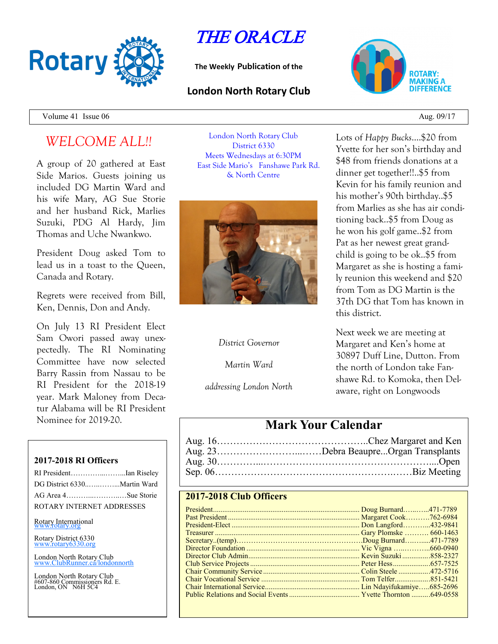

# THE ORACLE

**The Weekly Publication of the**

#### **London North Rotary Club**



Volume 41 Issue  $06 \text{ A}$ ug.  $09/17$ 

## *WELCOME ALL!!*

A group of 20 gathered at East Side Marios. Guests joining us included DG Martin Ward and his wife Mary, AG Sue Storie and her husband Rick, Marlies Suzuki, PDG Al Hardy, Jim Thomas and Uche Nwankwo.

President Doug asked Tom to lead us in a toast to the Queen, Canada and Rotary.

Regrets were received from Bill, Ken, Dennis, Don and Andy.

On July 13 RI President Elect Sam Owori passed away unexpectedly. The RI Nominating Committee have now selected Barry Rassin from Nassau to be RI President for the 2018-19 year. Mark Maloney from Decatur Alabama will be RI President Nominee for 2019-20.

#### **2017-2018 RI Officers**

| RI PresidentIan Riseley     |  |
|-----------------------------|--|
| DG District 6330Martin Ward |  |
| AG Area 4Sue Storie         |  |
| ROTARY INTERNET ADDRESSES   |  |

Rotary International

Rotary District 6330 [www.rotary6330.org](http://www.rotary6330.org/)

London North Rotary Club  $T$ ubRunner.ca/londonnorth

London North Rotary Club #607-860 Commissioners Rd. E. London, ON N6H 5C4

London North Rotary Club District 6330 Meets Wednesdays at 6:30PM East Side Mario's Fanshawe Park Rd. & North Centre



*District Governor*

*Martin Ward*

*addressing London North*

Lots of *Happy Bucks*….\$20 from Yvette for her son's birthday and \$48 from friends donations at a dinner get together!!..\$5 from Kevin for his family reunion and his mother's 90th birthday..\$5 from Marlies as she has air conditioning back..\$5 from Doug as he won his golf game..\$2 from Pat as her newest great grandchild is going to be ok..\$5 from Margaret as she is hosting a family reunion this weekend and \$20 from Tom as DG Martin is the 37th DG that Tom has known in this district.

Next week we are meeting at Margaret and Ken's home at 30897 Duff Line, Dutton. From the north of London take Fanshawe Rd. to Komoka, then Delaware, right on Longwoods

### **Mark Your Calendar**

| Aug. 23Debra BeaupreOrgan Transplants |
|---------------------------------------|
|                                       |
|                                       |

#### **2017-2018 Club Officers**